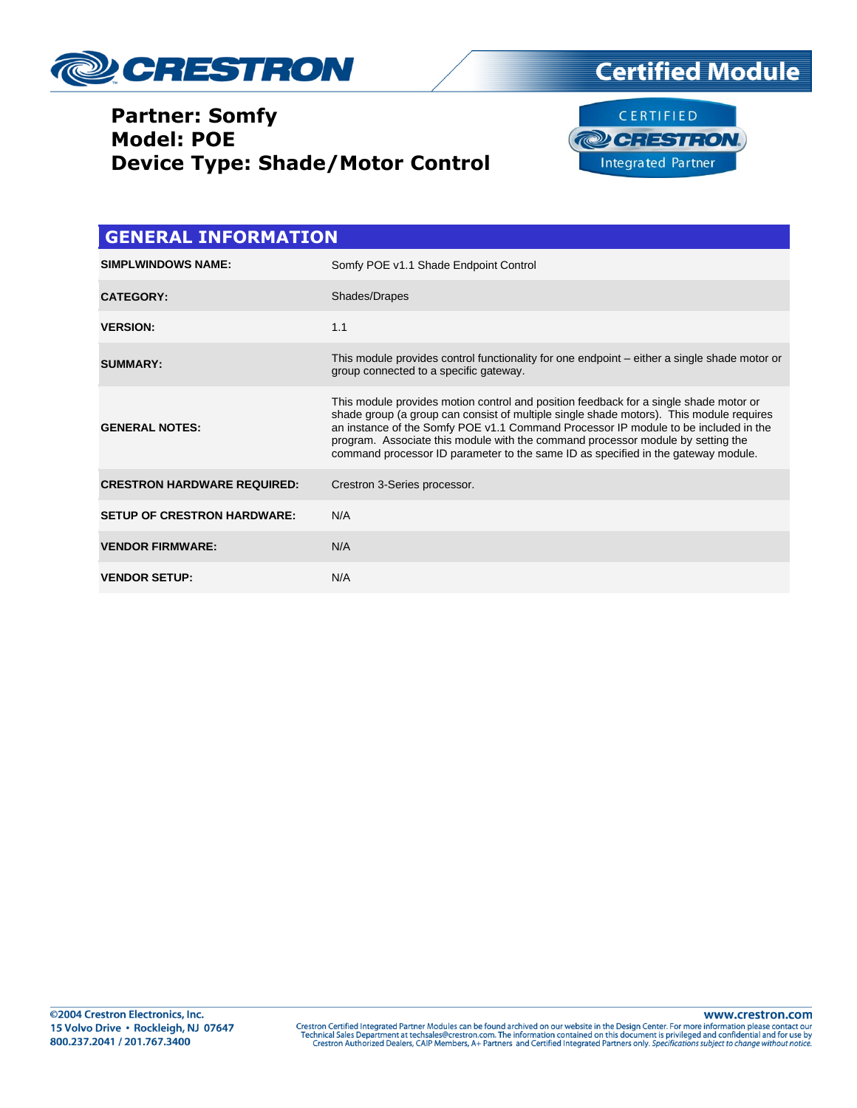



| <b>GENERAL INFORMATION</b>         |                                                                                                                                                                                                                                                                                                                                                                                                                                                 |  |  |  |
|------------------------------------|-------------------------------------------------------------------------------------------------------------------------------------------------------------------------------------------------------------------------------------------------------------------------------------------------------------------------------------------------------------------------------------------------------------------------------------------------|--|--|--|
| <b>SIMPLWINDOWS NAME:</b>          | Somfy POE v1.1 Shade Endpoint Control                                                                                                                                                                                                                                                                                                                                                                                                           |  |  |  |
| <b>CATEGORY:</b>                   | Shades/Drapes                                                                                                                                                                                                                                                                                                                                                                                                                                   |  |  |  |
| <b>VERSION:</b>                    | 1.1                                                                                                                                                                                                                                                                                                                                                                                                                                             |  |  |  |
| <b>SUMMARY:</b>                    | This module provides control functionality for one endpoint – either a single shade motor or<br>group connected to a specific gateway.                                                                                                                                                                                                                                                                                                          |  |  |  |
| <b>GENERAL NOTES:</b>              | This module provides motion control and position feedback for a single shade motor or<br>shade group (a group can consist of multiple single shade motors). This module requires<br>an instance of the Somfy POE v1.1 Command Processor IP module to be included in the<br>program. Associate this module with the command processor module by setting the<br>command processor ID parameter to the same ID as specified in the gateway module. |  |  |  |
| <b>CRESTRON HARDWARE REQUIRED:</b> | Crestron 3-Series processor.                                                                                                                                                                                                                                                                                                                                                                                                                    |  |  |  |
| <b>SETUP OF CRESTRON HARDWARE:</b> | N/A                                                                                                                                                                                                                                                                                                                                                                                                                                             |  |  |  |
| <b>VENDOR FIRMWARE:</b>            | N/A                                                                                                                                                                                                                                                                                                                                                                                                                                             |  |  |  |
| <b>VENDOR SETUP:</b>               | N/A                                                                                                                                                                                                                                                                                                                                                                                                                                             |  |  |  |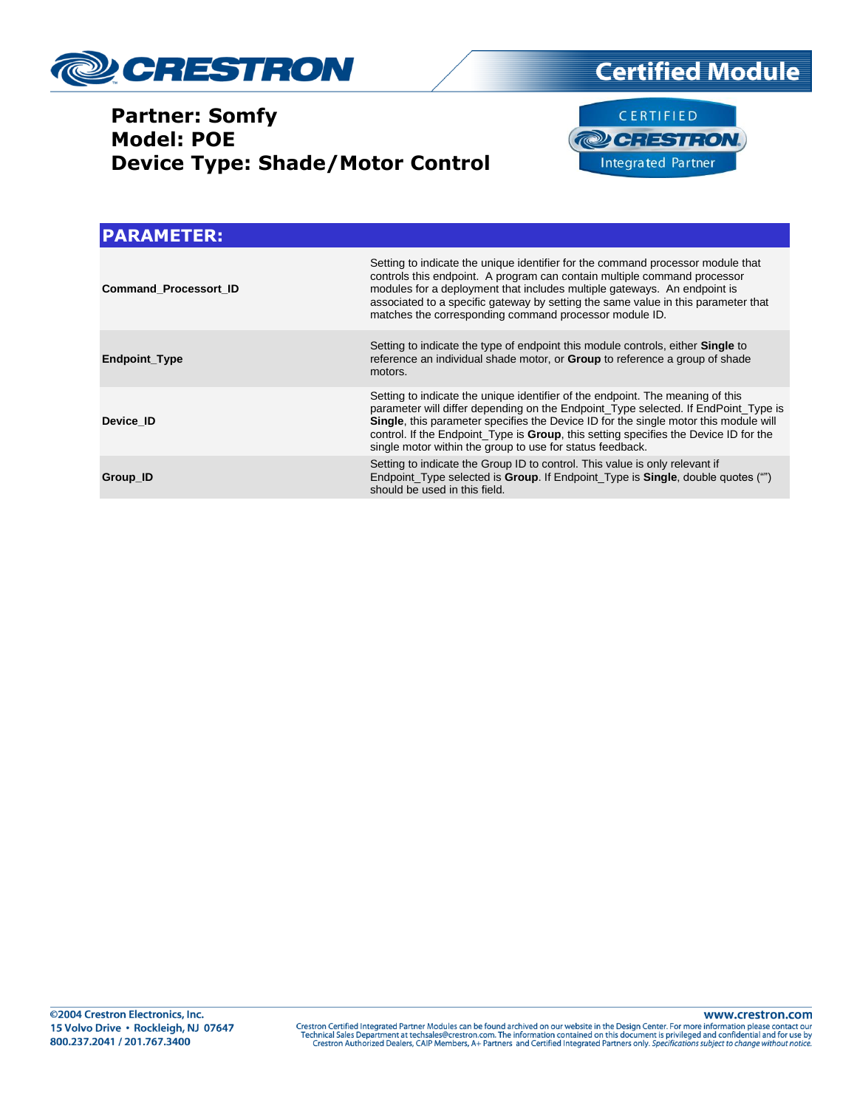





| <b>PARAMETER:</b>            |                                                                                                                                                                                                                                                                                                                                                                                                                   |
|------------------------------|-------------------------------------------------------------------------------------------------------------------------------------------------------------------------------------------------------------------------------------------------------------------------------------------------------------------------------------------------------------------------------------------------------------------|
| <b>Command Processort ID</b> | Setting to indicate the unique identifier for the command processor module that<br>controls this endpoint. A program can contain multiple command processor<br>modules for a deployment that includes multiple gateways. An endpoint is<br>associated to a specific gateway by setting the same value in this parameter that<br>matches the corresponding command processor module ID.                            |
| <b>Endpoint Type</b>         | Setting to indicate the type of endpoint this module controls, either <b>Single</b> to<br>reference an individual shade motor, or <b>Group</b> to reference a group of shade<br>motors.                                                                                                                                                                                                                           |
| Device ID                    | Setting to indicate the unique identifier of the endpoint. The meaning of this<br>parameter will differ depending on the Endpoint_Type selected. If EndPoint_Type is<br>Single, this parameter specifies the Device ID for the single motor this module will<br>control. If the Endpoint_Type is Group, this setting specifies the Device ID for the<br>single motor within the group to use for status feedback. |
| Group_ID                     | Setting to indicate the Group ID to control. This value is only relevant if<br>Endpoint Type selected is <b>Group</b> . If Endpoint Type is <b>Single</b> , double quotes ("")<br>should be used in this field.                                                                                                                                                                                                   |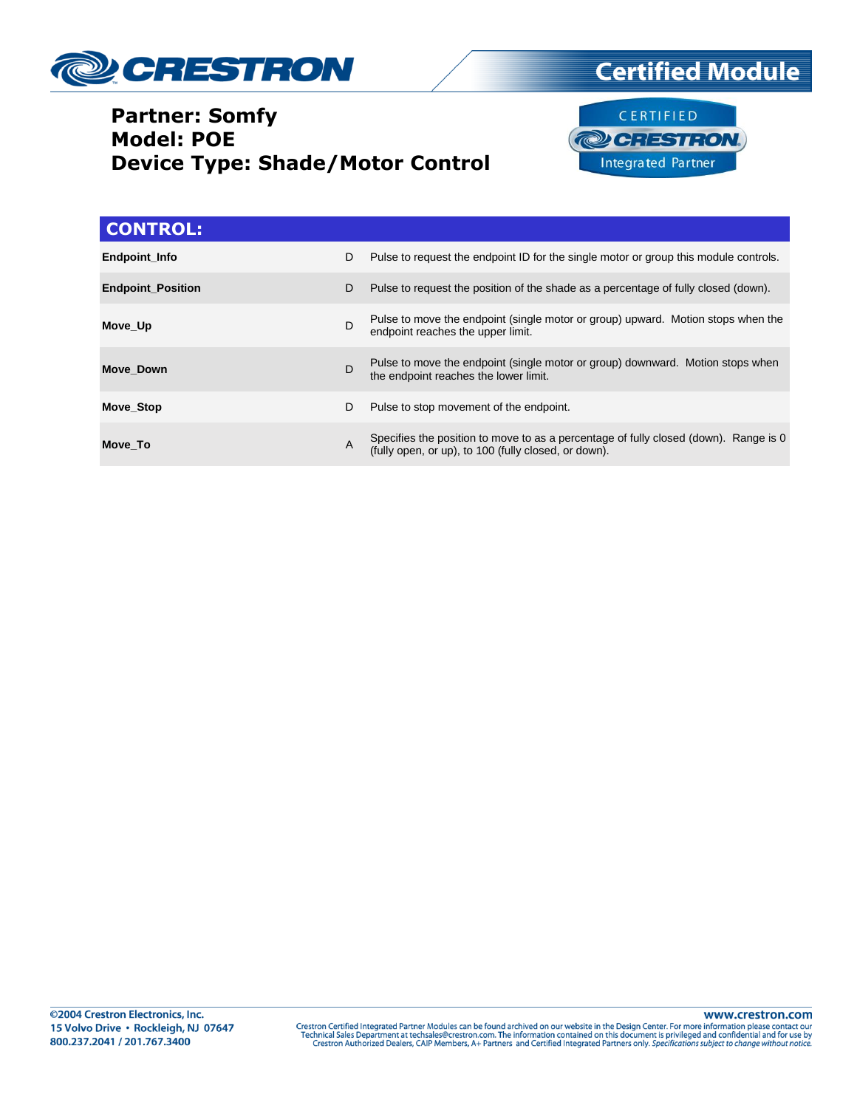



**Certified Module** 

| <b>CONTROL:</b>          |   |                                                                                                                                              |
|--------------------------|---|----------------------------------------------------------------------------------------------------------------------------------------------|
| <b>Endpoint Info</b>     | D | Pulse to request the endpoint ID for the single motor or group this module controls.                                                         |
| <b>Endpoint Position</b> | D | Pulse to request the position of the shade as a percentage of fully closed (down).                                                           |
| Move Up                  | D | Pulse to move the endpoint (single motor or group) upward. Motion stops when the<br>endpoint reaches the upper limit.                        |
| Move Down                | D | Pulse to move the endpoint (single motor or group) downward. Motion stops when<br>the endpoint reaches the lower limit.                      |
| <b>Move Stop</b>         | D | Pulse to stop movement of the endpoint.                                                                                                      |
| Move To                  | A | Specifies the position to move to as a percentage of fully closed (down). Range is 0<br>(fully open, or up), to 100 (fully closed, or down). |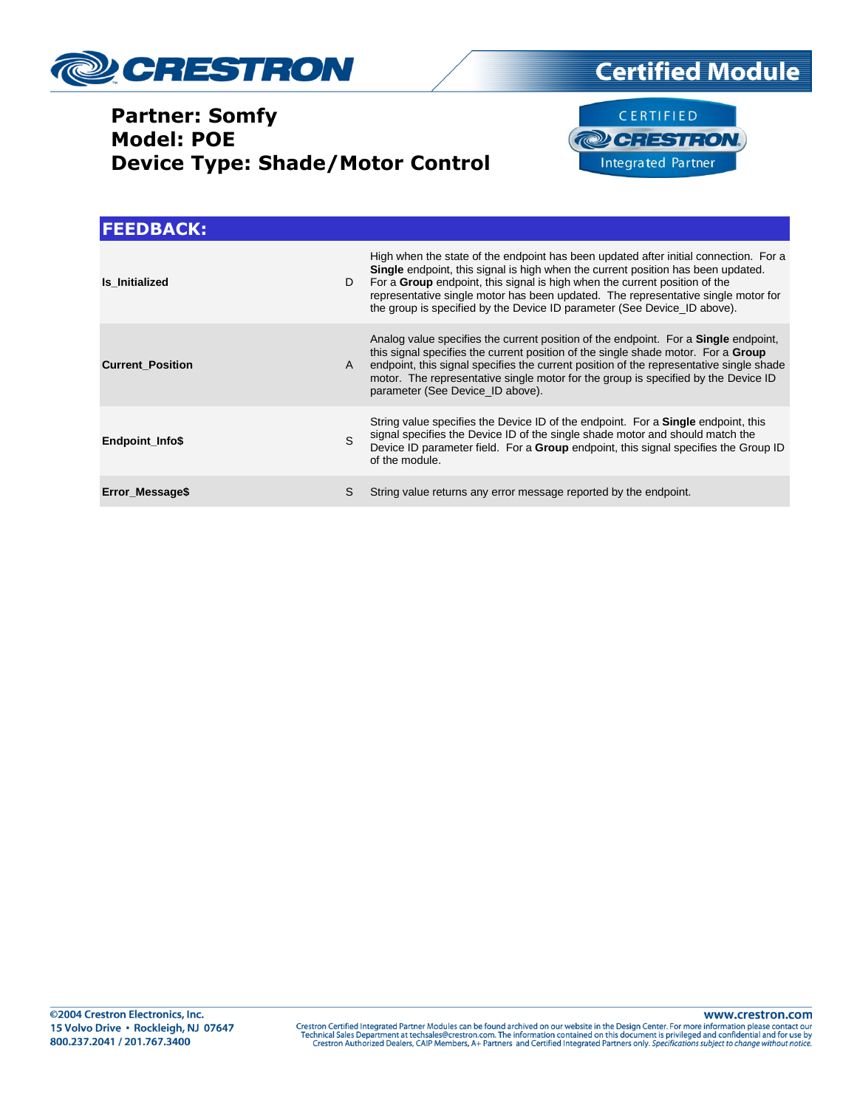





| <b>FEEDBACK:</b>        |              |                                                                                                                                                                                                                                                                                                                                                                                                                                       |
|-------------------------|--------------|---------------------------------------------------------------------------------------------------------------------------------------------------------------------------------------------------------------------------------------------------------------------------------------------------------------------------------------------------------------------------------------------------------------------------------------|
| Is Initialized          | D            | High when the state of the endpoint has been updated after initial connection. For a<br><b>Single</b> endpoint, this signal is high when the current position has been updated.<br>For a <b>Group</b> endpoint, this signal is high when the current position of the<br>representative single motor has been updated. The representative single motor for<br>the group is specified by the Device ID parameter (See Device ID above). |
| <b>Current Position</b> | $\mathsf{A}$ | Analog value specifies the current position of the endpoint. For a <b>Single</b> endpoint,<br>this signal specifies the current position of the single shade motor. For a <b>Group</b><br>endpoint, this signal specifies the current position of the representative single shade<br>motor. The representative single motor for the group is specified by the Device ID<br>parameter (See Device ID above).                           |
| <b>Endpoint Info\$</b>  | S.           | String value specifies the Device ID of the endpoint. For a <b>Single</b> endpoint, this<br>signal specifies the Device ID of the single shade motor and should match the<br>Device ID parameter field. For a <b>Group</b> endpoint, this signal specifies the Group ID<br>of the module.                                                                                                                                             |
| Error Message\$         | S            | String value returns any error message reported by the endpoint.                                                                                                                                                                                                                                                                                                                                                                      |